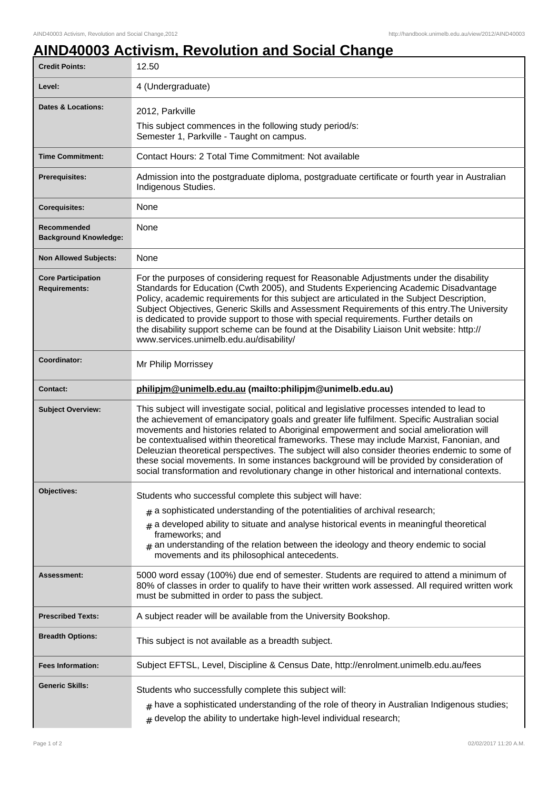## **AIND40003 Activism, Revolution and Social Change**

| <b>Credit Points:</b>                             | 12.50                                                                                                                                                                                                                                                                                                                                                                                                                                                                                                                                                                                                                                                                                  |
|---------------------------------------------------|----------------------------------------------------------------------------------------------------------------------------------------------------------------------------------------------------------------------------------------------------------------------------------------------------------------------------------------------------------------------------------------------------------------------------------------------------------------------------------------------------------------------------------------------------------------------------------------------------------------------------------------------------------------------------------------|
| Level:                                            | 4 (Undergraduate)                                                                                                                                                                                                                                                                                                                                                                                                                                                                                                                                                                                                                                                                      |
| <b>Dates &amp; Locations:</b>                     | 2012, Parkville                                                                                                                                                                                                                                                                                                                                                                                                                                                                                                                                                                                                                                                                        |
|                                                   | This subject commences in the following study period/s:<br>Semester 1, Parkville - Taught on campus.                                                                                                                                                                                                                                                                                                                                                                                                                                                                                                                                                                                   |
| <b>Time Commitment:</b>                           | Contact Hours: 2 Total Time Commitment: Not available                                                                                                                                                                                                                                                                                                                                                                                                                                                                                                                                                                                                                                  |
| <b>Prerequisites:</b>                             | Admission into the postgraduate diploma, postgraduate certificate or fourth year in Australian<br>Indigenous Studies.                                                                                                                                                                                                                                                                                                                                                                                                                                                                                                                                                                  |
| <b>Corequisites:</b>                              | None                                                                                                                                                                                                                                                                                                                                                                                                                                                                                                                                                                                                                                                                                   |
| Recommended<br><b>Background Knowledge:</b>       | None                                                                                                                                                                                                                                                                                                                                                                                                                                                                                                                                                                                                                                                                                   |
| <b>Non Allowed Subjects:</b>                      | None                                                                                                                                                                                                                                                                                                                                                                                                                                                                                                                                                                                                                                                                                   |
| <b>Core Participation</b><br><b>Requirements:</b> | For the purposes of considering request for Reasonable Adjustments under the disability<br>Standards for Education (Cwth 2005), and Students Experiencing Academic Disadvantage<br>Policy, academic requirements for this subject are articulated in the Subject Description,<br>Subject Objectives, Generic Skills and Assessment Requirements of this entry. The University<br>is dedicated to provide support to those with special requirements. Further details on<br>the disability support scheme can be found at the Disability Liaison Unit website: http://<br>www.services.unimelb.edu.au/disability/                                                                       |
| Coordinator:                                      | Mr Philip Morrissey                                                                                                                                                                                                                                                                                                                                                                                                                                                                                                                                                                                                                                                                    |
| <b>Contact:</b>                                   | philipjm@unimelb.edu.au (mailto:philipjm@unimelb.edu.au)                                                                                                                                                                                                                                                                                                                                                                                                                                                                                                                                                                                                                               |
| <b>Subject Overview:</b>                          | This subject will investigate social, political and legislative processes intended to lead to<br>the achievement of emancipatory goals and greater life fulfilment. Specific Australian social<br>movements and histories related to Aboriginal empowerment and social amelioration will<br>be contextualised within theoretical frameworks. These may include Marxist, Fanonian, and<br>Deleuzian theoretical perspectives. The subject will also consider theories endemic to some of<br>these social movements. In some instances background will be provided by consideration of<br>social transformation and revolutionary change in other historical and international contexts. |
| <b>Objectives:</b>                                | Students who successful complete this subject will have:                                                                                                                                                                                                                                                                                                                                                                                                                                                                                                                                                                                                                               |
|                                                   | $*$ a sophisticated understanding of the potentialities of archival research;                                                                                                                                                                                                                                                                                                                                                                                                                                                                                                                                                                                                          |
|                                                   | a developed ability to situate and analyse historical events in meaningful theoretical<br>#<br>frameworks; and<br>$#$ an understanding of the relation between the ideology and theory endemic to social<br>movements and its philosophical antecedents.                                                                                                                                                                                                                                                                                                                                                                                                                               |
| Assessment:                                       | 5000 word essay (100%) due end of semester. Students are required to attend a minimum of<br>80% of classes in order to qualify to have their written work assessed. All required written work<br>must be submitted in order to pass the subject.                                                                                                                                                                                                                                                                                                                                                                                                                                       |
| <b>Prescribed Texts:</b>                          | A subject reader will be available from the University Bookshop.                                                                                                                                                                                                                                                                                                                                                                                                                                                                                                                                                                                                                       |
| <b>Breadth Options:</b>                           | This subject is not available as a breadth subject.                                                                                                                                                                                                                                                                                                                                                                                                                                                                                                                                                                                                                                    |
| <b>Fees Information:</b>                          | Subject EFTSL, Level, Discipline & Census Date, http://enrolment.unimelb.edu.au/fees                                                                                                                                                                                                                                                                                                                                                                                                                                                                                                                                                                                                   |
| <b>Generic Skills:</b>                            | Students who successfully complete this subject will:<br>$_{\#}$ have a sophisticated understanding of the role of theory in Australian Indigenous studies;<br>$#$ develop the ability to undertake high-level individual research;                                                                                                                                                                                                                                                                                                                                                                                                                                                    |